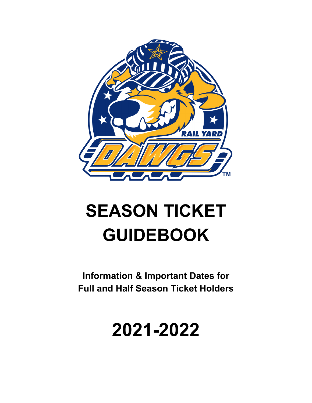

# **SEASON TICKET GUIDEBOOK**

**Information & Important Dates for Full and Half Season Ticket Holders**

## **2021-2022**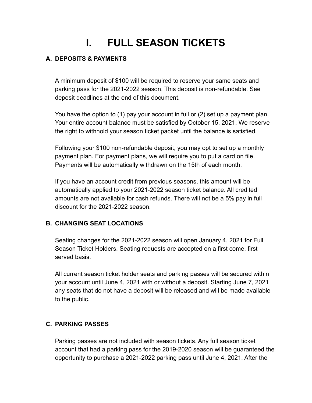### **I. FULL SEASON TICKETS**

### **A. DEPOSITS & PAYMENTS**

A minimum deposit of \$100 will be required to reserve your same seats and parking pass for the 2021-2022 season. This deposit is non-refundable. See deposit deadlines at the end of this document.

You have the option to (1) pay your account in full or (2) set up a payment plan. Your entire account balance must be satisfied by October 15, 2021. We reserve the right to withhold your season ticket packet until the balance is satisfied.

Following your \$100 non-refundable deposit, you may opt to set up a monthly payment plan. For payment plans, we will require you to put a card on file. Payments will be automatically withdrawn on the 15th of each month.

If you have an account credit from previous seasons, this amount will be automatically applied to your 2021-2022 season ticket balance. All credited amounts are not available for cash refunds. There will not be a 5% pay in full discount for the 2021-2022 season.

### **B. CHANGING SEAT LOCATIONS**

Seating changes for the 2021-2022 season will open January 4, 2021 for Full Season Ticket Holders. Seating requests are accepted on a first come, first served basis.

All current season ticket holder seats and parking passes will be secured within your account until June 4, 2021 with or without a deposit. Starting June 7, 2021 any seats that do not have a deposit will be released and will be made available to the public.

### **C. PARKING PASSES**

Parking passes are not included with season tickets. Any full season ticket account that had a parking pass for the 2019-2020 season will be guaranteed the opportunity to purchase a 2021-2022 parking pass until June 4, 2021. After the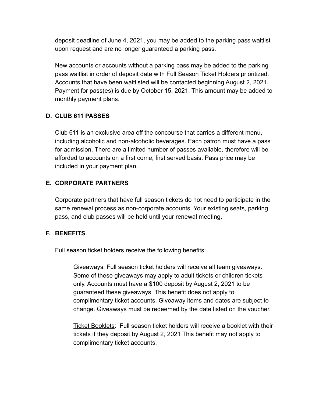deposit deadline of June 4, 2021, you may be added to the parking pass waitlist upon request and are no longer guaranteed a parking pass.

New accounts or accounts without a parking pass may be added to the parking pass waitlist in order of deposit date with Full Season Ticket Holders prioritized. Accounts that have been waitlisted will be contacted beginning August 2, 2021. Payment for pass(es) is due by October 15, 2021. This amount may be added to monthly payment plans.

### **D. CLUB 611 PASSES**

Club 611 is an exclusive area off the concourse that carries a different menu, including alcoholic and non-alcoholic beverages. Each patron must have a pass for admission. There are a limited number of passes available, therefore will be afforded to accounts on a first come, first served basis. Pass price may be included in your payment plan.

### **E. CORPORATE PARTNERS**

Corporate partners that have full season tickets do not need to participate in the same renewal process as non-corporate accounts. Your existing seats, parking pass, and club passes will be held until your renewal meeting.

### **F. BENEFITS**

Full season ticket holders receive the following benefits:

Giveaways: Full season ticket holders will receive all team giveaways. Some of these giveaways may apply to adult tickets or children tickets only. Accounts must have a \$100 deposit by August 2, 2021 to be guaranteed these giveaways. This benefit does not apply to complimentary ticket accounts. Giveaway items and dates are subject to change. Giveaways must be redeemed by the date listed on the voucher.

Ticket Booklets: Full season ticket holders will receive a booklet with their tickets if they deposit by August 2, 2021 This benefit may not apply to complimentary ticket accounts.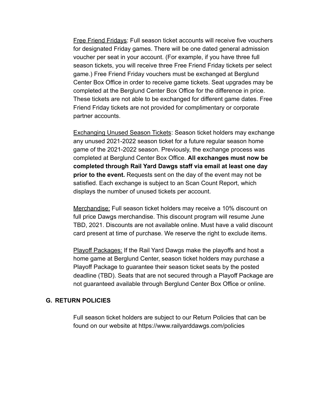Free Friend Fridays: Full season ticket accounts will receive five vouchers for designated Friday games. There will be one dated general admission voucher per seat in your account. (For example, if you have three full season tickets, you will receive three Free Friend Friday tickets per select game.) Free Friend Friday vouchers must be exchanged at Berglund Center Box Office in order to receive game tickets. Seat upgrades may be completed at the Berglund Center Box Office for the difference in price. These tickets are not able to be exchanged for different game dates. Free Friend Friday tickets are not provided for complimentary or corporate partner accounts.

Exchanging Unused Season Tickets: Season ticket holders may exchange any unused 2021-2022 season ticket for a future regular season home game of the 2021-2022 season. Previously, the exchange process was completed at Berglund Center Box Office. **All exchanges must now be completed through Rail Yard Dawgs staff via email at least one day prior to the event.** Requests sent on the day of the event may not be satisfied. Each exchange is subject to an Scan Count Report, which displays the number of unused tickets per account.

Merchandise: Full season ticket holders may receive a 10% discount on full price Dawgs merchandise. This discount program will resume June TBD, 2021. Discounts are not available online. Must have a valid discount card present at time of purchase. We reserve the right to exclude items.

Playoff Packages: If the Rail Yard Dawgs make the playoffs and host a home game at Berglund Center, season ticket holders may purchase a Playoff Package to guarantee their season ticket seats by the posted deadline (TBD). Seats that are not secured through a Playoff Package are not guaranteed available through Berglund Center Box Office or online.

#### **G. RETURN POLICIES**

Full season ticket holders are subject to our Return Policies that can be found on our website at https://www.railyarddawgs.com/policies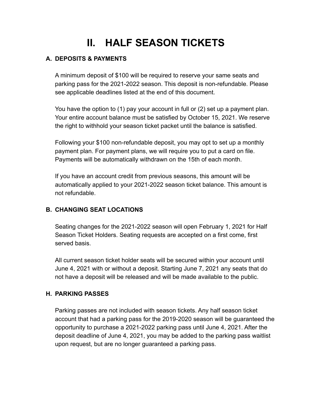### **II. HALF SEASON TICKETS**

### **A. DEPOSITS & PAYMENTS**

A minimum deposit of \$100 will be required to reserve your same seats and parking pass for the 2021-2022 season. This deposit is non-refundable. Please see applicable deadlines listed at the end of this document.

You have the option to (1) pay your account in full or (2) set up a payment plan. Your entire account balance must be satisfied by October 15, 2021. We reserve the right to withhold your season ticket packet until the balance is satisfied.

Following your \$100 non-refundable deposit, you may opt to set up a monthly payment plan. For payment plans, we will require you to put a card on file. Payments will be automatically withdrawn on the 15th of each month.

If you have an account credit from previous seasons, this amount will be automatically applied to your 2021-2022 season ticket balance. This amount is not refundable.

### **B. CHANGING SEAT LOCATIONS**

Seating changes for the 2021-2022 season will open February 1, 2021 for Half Season Ticket Holders. Seating requests are accepted on a first come, first served basis.

All current season ticket holder seats will be secured within your account until June 4, 2021 with or without a deposit. Starting June 7, 2021 any seats that do not have a deposit will be released and will be made available to the public.

### **H. PARKING PASSES**

Parking passes are not included with season tickets. Any half season ticket account that had a parking pass for the 2019-2020 season will be guaranteed the opportunity to purchase a 2021-2022 parking pass until June 4, 2021. After the deposit deadline of June 4, 2021, you may be added to the parking pass waitlist upon request, but are no longer guaranteed a parking pass.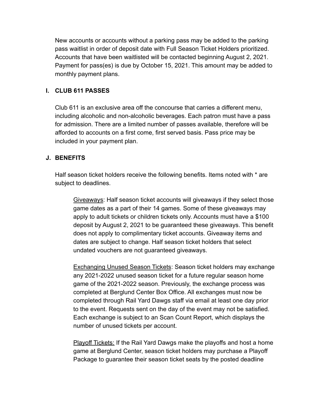New accounts or accounts without a parking pass may be added to the parking pass waitlist in order of deposit date with Full Season Ticket Holders prioritized. Accounts that have been waitlisted will be contacted beginning August 2, 2021. Payment for pass(es) is due by October 15, 2021. This amount may be added to monthly payment plans.

### **I. CLUB 611 PASSES**

Club 611 is an exclusive area off the concourse that carries a different menu, including alcoholic and non-alcoholic beverages. Each patron must have a pass for admission. There are a limited number of passes available, therefore will be afforded to accounts on a first come, first served basis. Pass price may be included in your payment plan.

#### **J. BENEFITS**

Half season ticket holders receive the following benefits. Items noted with \* are subject to deadlines.

Giveaways: Half season ticket accounts will giveaways if they select those game dates as a part of their 14 games. Some of these giveaways may apply to adult tickets or children tickets only. Accounts must have a \$100 deposit by August 2, 2021 to be guaranteed these giveaways. This benefit does not apply to complimentary ticket accounts. Giveaway items and dates are subject to change. Half season ticket holders that select undated vouchers are not guaranteed giveaways.

Exchanging Unused Season Tickets: Season ticket holders may exchange any 2021-2022 unused season ticket for a future regular season home game of the 2021-2022 season. Previously, the exchange process was completed at Berglund Center Box Office. All exchanges must now be completed through Rail Yard Dawgs staff via email at least one day prior to the event. Requests sent on the day of the event may not be satisfied. Each exchange is subject to an Scan Count Report, which displays the number of unused tickets per account.

Playoff Tickets: If the Rail Yard Dawgs make the playoffs and host a home game at Berglund Center, season ticket holders may purchase a Playoff Package to guarantee their season ticket seats by the posted deadline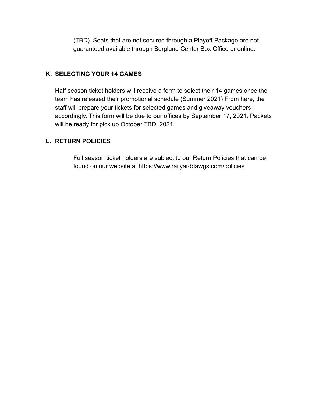(TBD). Seats that are not secured through a Playoff Package are not guaranteed available through Berglund Center Box Office or online.

### **K. SELECTING YOUR 14 GAMES**

Half season ticket holders will receive a form to select their 14 games once the team has released their promotional schedule (Summer 2021) From here, the staff will prepare your tickets for selected games and giveaway vouchers accordingly. This form will be due to our offices by September 17, 2021. Packets will be ready for pick up October TBD, 2021.

#### **L. RETURN POLICIES**

Full season ticket holders are subject to our Return Policies that can be found on our website at https://www.railyarddawgs.com/policies